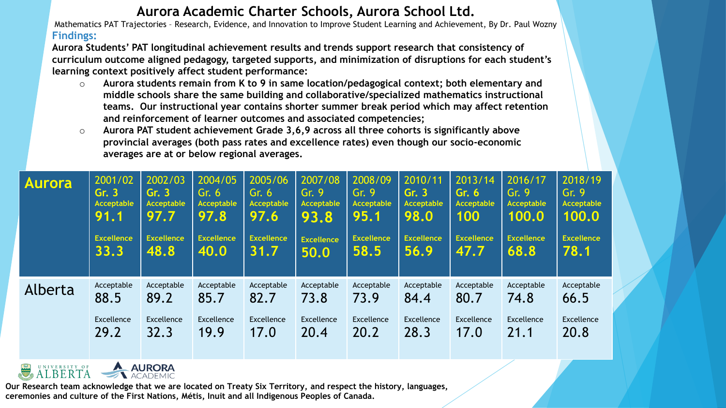## **Aurora Academic Charter Schools, Aurora School Ltd.**

Mathematics PAT Trajectories – Research, Evidence, and Innovation to Improve Student Learning and Achievement, By Dr. Paul Wozny **Findings:**

**Aurora Students' PAT longitudinal achievement results and trends support research that consistency of curriculum outcome aligned pedagogy, targeted supports, and minimization of disruptions for each student's learning context positively affect student performance:** 

- o **Aurora students remain from K to 9 in same location/pedagogical context; both elementary and middle schools share the same building and collaborative/specialized mathematics instructional teams. Our instructional year contains shorter summer break period which may affect retention and reinforcement of learner outcomes and associated competencies;**
- o **Aurora PAT student achievement Grade 3,6,9 across all three cohorts is significantly above provincial averages (both pass rates and excellence rates) even though our socio-economic averages are at or below regional averages.**

| <b>Aurora</b> | 2001/02           | 2002/03           | 2004/05           | 2005/06           | 2007/08           | 2008/09           | 2010/11           | 2013/14           | 2016/17           | 2018/19           |
|---------------|-------------------|-------------------|-------------------|-------------------|-------------------|-------------------|-------------------|-------------------|-------------------|-------------------|
|               | Gr. 3             | Gr.3              | Gr. $61$          | Gr. 6             | Gr. $9$           | Gr. 9             | Gr. 3             | Gr. 6             | Gr. 9             | Gr.9              |
|               | <b>Acceptable</b> | <b>Acceptable</b> | <b>Acceptable</b> | <b>Acceptable</b> | Acceptable        | <b>Acceptable</b> | <b>Acceptable</b> | Acceptable        | Acceptable        | <b>Acceptable</b> |
|               | 91.1              | 97.7              | 97.8              | 97.6              | 93.8              | 95.1              | 98.0              | 100               | 100.0             | 100.0             |
|               | <b>Excellence</b> | <b>Excellence</b> | <b>Excellence</b> | <b>Excellence</b> | <b>Excellence</b> | <b>Excellence</b> | <b>Excellence</b> | <b>Excellence</b> | <b>Excellence</b> | <b>Excellence</b> |
|               | 33.3              | 48.8              | 40.0              | 31.7              | 50.0              | 58.5              | 56.9              | 47.7              | 68.8              | 78.1              |
| Alberta       | Acceptable        | Acceptable        | Acceptable        | Acceptable        | Acceptable        | Acceptable        | Acceptable        | Acceptable        | Acceptable        | Acceptable        |
|               | 88.5              | 89.2              | 85.7              | 82.7              | 73.8              | 73.9              | 84.4              | 80.7              | 74.8              | 66.5              |
|               | Excellence        | Excellence        | Excellence        | <b>Excellence</b> | <b>Excellence</b> | Excellence        | Excellence        | Excellence        | Excellence        | Excellence        |
|               | 29.2              | 32.3              | 19.9              | 17.0              | 20.4              | 20.2              | 28.3              | 17.0              | 21.1              | 20.8              |



**Our Research team acknowledge that we are located on Treaty Six Territory, and respect the history, languages, ceremonies and culture of the First Nations, Métis, Inuit and all Indigenous Peoples of Canada.**